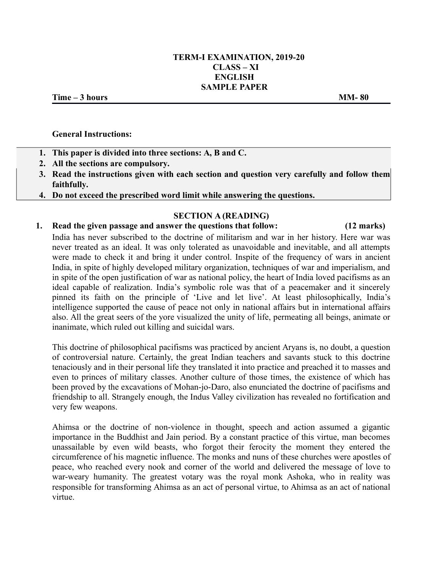### **TERM-I EXAMINATION, 2019-20 CLASS – XI ENGLISH SAMPLE PAPER**

**Time – 3 hours MM- 80**

#### **General Instructions:**

- **1. This paper is divided into three sections: A, B and C.**
- **2. All the sections are compulsory.**
- **3. Read the instructions given with each section and question very carefully and follow them faithfully.**
- **4. Do not exceed the prescribed word limit while answering the questions.**

### **SECTION A (READING)**

#### **1. Read the given passage and answer the questions that follow: (12 marks)**

India has never subscribed to the doctrine of militarism and war in her history. Here war was never treated as an ideal. It was only tolerated as unavoidable and inevitable, and all attempts were made to check it and bring it under control. Inspite of the frequency of wars in ancient India, in spite of highly developed military organization, techniques of war and imperialism, and in spite of the open justification of war as national policy, the heart of India loved pacifisms as an ideal capable of realization. India's symbolic role was that of a peacemaker and it sincerely pinned its faith on the principle of 'Live and let live'. At least philosophically, India's intelligence supported the cause of peace not only in national affairs but in international affairs also. All the great seers of the yore visualized the unity of life, permeating all beings, animate or inanimate, which ruled out killing and suicidal wars.

This doctrine of philosophical pacifisms was practiced by ancient Aryans is, no doubt, a question of controversial nature. Certainly, the great Indian teachers and savants stuck to this doctrine tenaciously and in their personal life they translated it into practice and preached it to masses and even to princes of military classes. Another culture of those times, the existence of which has been proved by the excavations of Mohan-jo-Daro, also enunciated the doctrine of pacifisms and friendship to all. Strangely enough, the Indus Valley civilization has revealed no fortification and very few weapons.

Ahimsa or the doctrine of non-violence in thought, speech and action assumed a gigantic importance in the Buddhist and Jain period. By a constant practice of this virtue, man becomes unassailable by even wild beasts, who forgot their ferocity the moment they entered the circumference of his magnetic influence. The monks and nuns of these churches were apostles of peace, who reached every nook and corner of the world and delivered the message of love to war-weary humanity. The greatest votary was the royal monk Ashoka, who in reality was responsible for transforming Ahimsa as an act of personal virtue, to Ahimsa as an act of national virtue.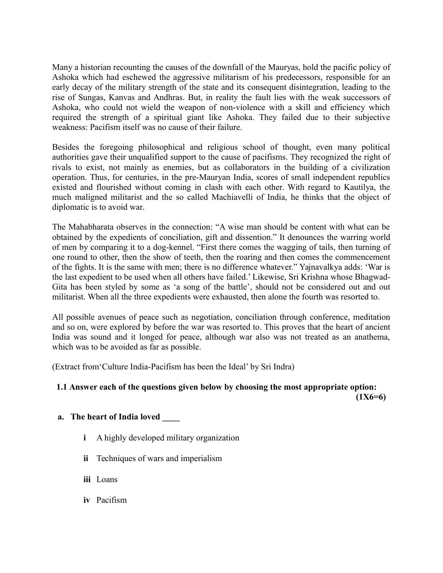Many a historian recounting the causes of the downfall of the Mauryas, hold the pacific policy of Ashoka which had eschewed the aggressive militarism of his predecessors, responsible for an early decay of the military strength of the state and its consequent disintegration, leading to the rise of Sungas, Kanvas and Andhras. But, in reality the fault lies with the weak successors of Ashoka, who could not wield the weapon of non-violence with a skill and efficiency which required the strength of a spiritual giant like Ashoka. They failed due to their subjective weakness: Pacifism itself was no cause of their failure.

Besides the foregoing philosophical and religious school of thought, even many political authorities gave their unqualified support to the cause of pacifisms. They recognized the right of rivals to exist, not mainly as enemies, but as collaborators in the building of a civilization operation. Thus, for centuries, in the pre-Mauryan India, scores of small independent republics existed and flourished without coming in clash with each other. With regard to Kautilya, the much maligned militarist and the so called Machiavelli of India, he thinks that the object of diplomatic is to avoid war.

The Mahabharata observes in the connection: "A wise man should be content with what can be obtained by the expedients of conciliation, gift and dissention." It denounces the warring world of men by comparing it to a dog-kennel. "First there comes the wagging of tails, then turning of one round to other, then the show of teeth, then the roaring and then comes the commencement of the fights. It is the same with men; there is no difference whatever." Yajnavalkya adds: 'War is the last expedient to be used when all others have failed.' Likewise, Sri Krishna whose Bhagwad-Gita has been styled by some as 'a song of the battle', should not be considered out and out militarist. When all the three expedients were exhausted, then alone the fourth was resorted to.

All possible avenues of peace such as negotiation, conciliation through conference, meditation and so on, were explored by before the war was resorted to. This proves that the heart of ancient India was sound and it longed for peace, although war also was not treated as an anathema, which was to be avoided as far as possible.

(Extract from'Culture India-Pacifism has been the Ideal' by Sri Indra)

## **1.1 Answer each of the questions given below by choosing the most appropriate option: (1X6=6)**

# **a. The heart of India loved \_\_\_\_**

- **i** A highly developed military organization
- **ii** Techniques of wars and imperialism
- **iii** Loans
- **iv** Pacifism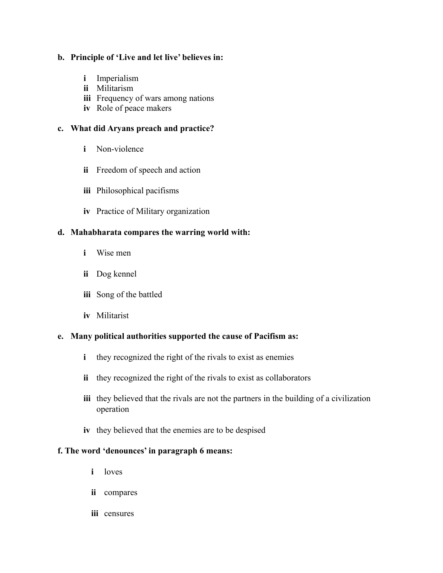## **b. Principle of 'Live and let live' believes in:**

- **i** Imperialism
- **ii** Militarism
- **iii** Frequency of wars among nations
- **iv** Role of peace makers

## **c. What did Aryans preach and practice?**

- **i** Non-violence
- **ii** Freedom of speech and action
- **iii** Philosophical pacifisms
- **iv** Practice of Military organization

## **d. Mahabharata compares the warring world with:**

- **i** Wise men
- **ii** Dog kennel
- **iii** Song of the battled
- **iv** Militarist

### **e. Many political authorities supported the cause of Pacifism as:**

- **i** they recognized the right of the rivals to exist as enemies
- **ii** they recognized the right of the rivals to exist as collaborators
- **iii** they believed that the rivals are not the partners in the building of a civilization operation
- **iv** they believed that the enemies are to be despised

# **f. The word 'denounces' in paragraph 6 means:**

- **i** loves
- **ii** compares
- **iii** censures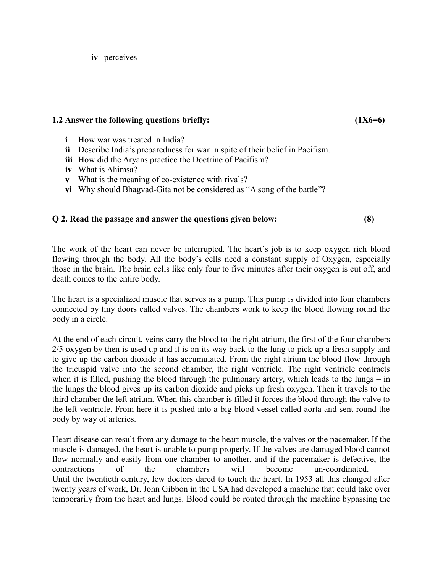**iv** perceives

### **1.2 Answer the following questions briefly: (1X6=6)**

- **i** How war was treated in India?
- **ii** Describe India's preparedness for war in spite of their belief in Pacifism.
- **iii** How did the Aryans practice the Doctrine of Pacifism?
- **iv** What is Ahimsa?
- **v** What is the meaning of co-existence with rivals?
- **vi** Why should Bhagvad-Gita not be considered as "A song of the battle"?

# **Q 2. Read the passage and answer the questions given below: (8)**

The work of the heart can never be interrupted. The heart's job is to keep oxygen rich blood flowing through the body. All the body's cells need a constant supply of Oxygen, especially those in the brain. The brain cells like only four to five minutes after their oxygen is cut off, and death comes to the entire body.

The heart is a specialized muscle that serves as a pump. This pump is divided into four chambers connected by tiny doors called valves. The chambers work to keep the blood flowing round the body in a circle.

At the end of each circuit, veins carry the blood to the right atrium, the first of the four chambers 2/5 oxygen by then is used up and it is on its way back to the lung to pick up a fresh supply and to give up the carbon dioxide it has accumulated. From the right atrium the blood flow through the tricuspid valve into the second chamber, the right ventricle. The right ventricle contracts when it is filled, pushing the blood through the pulmonary artery, which leads to the lungs – in the lungs the blood gives up its carbon dioxide and picks up fresh oxygen. Then it travels to the third chamber the left atrium. When this chamber is filled it forces the blood through the valve to the left ventricle. From here it is pushed into a big blood vessel called aorta and sent round the body by way of arteries.

Heart disease can result from any damage to the heart muscle, the valves or the pacemaker. If the muscle is damaged, the heart is unable to pump properly. If the valves are damaged blood cannot flow normally and easily from one chamber to another, and if the pacemaker is defective, the contractions of the chambers will become un-coordinated. Until the twentieth century, few doctors dared to touch the heart. In 1953 all this changed after twenty years of work, Dr. John Gibbon in the USA had developed a machine that could take over temporarily from the heart and lungs. Blood could be routed through the machine bypassing the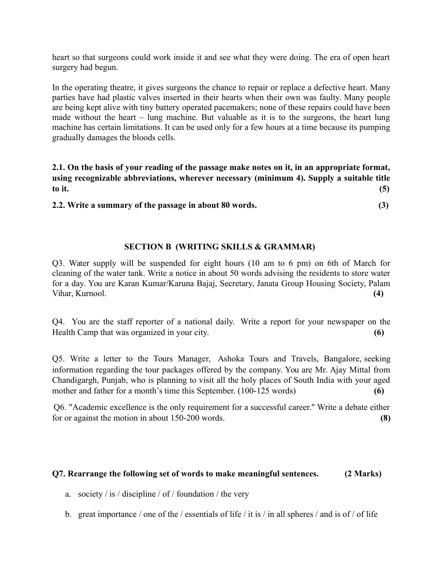heart so that surgeons could work inside it and see what they were doing. The era of open heart surgery had begun.

In the operating theatre, it gives surgeons the chance to repair or replace a defective heart. Many parties have had plastic valves inserted in their hearts when their own was faulty. Many people are being kept alive with tiny battery operated pacemakers; none of these repairs could have been made without the heart – lung machine. But valuable as it is to the surgeons, the heart lung machine has certain limitations. It can be used only for a few hours at a time because its pumping gradually damages the bloods cells.

**2.1. On the basis of your reading of the passage make notes on it, in an appropriate format, using recognizable abbreviations, wherever necessary (minimum 4). Supply a suitable title to it. (5)**

**2.2. Write a summary of the passage in about 80 words. (3)**

# **SECTION B (WRITING SKILLS & GRAMMAR)**

Q3. Water supply will be suspended for eight hours (10 am to 6 pm) on 6th of March for cleaning of the water tank. Write a notice in about 50 words advising the residents to store water for a day. You are Karan Kumar/Karuna Bajaj, Secretary, Janata Group Housing Society, Palam Vihar, Kurnool. **(4)**

Q4. You are the staff reporter of a national daily. Write a report for your newspaper on the Health Camp that was organized in your city. **(6)**

Q5. Write a letter to the Tours Manager, Ashoka Tours and Travels, Bangalore, seeking information regarding the tour packages offered by the company. You are Mr. Ajay Mittal from Chandigargh, Punjab, who is planning to visit all the holy places of South India with your aged mother and father for a month's time this September. (100-125 words)

 Q6. "Academic excellence is the only requirement for a successful career." Write a debate either for or against the motion in about 150-200 words. **(8)**

### **Q7. Rearrange the following set of words to make meaningful sentences. (2 Marks)**

- a. society / is / discipline / of / foundation / the very
- b. great importance / one of the / essentials of life / it is / in all spheres / and is of / of life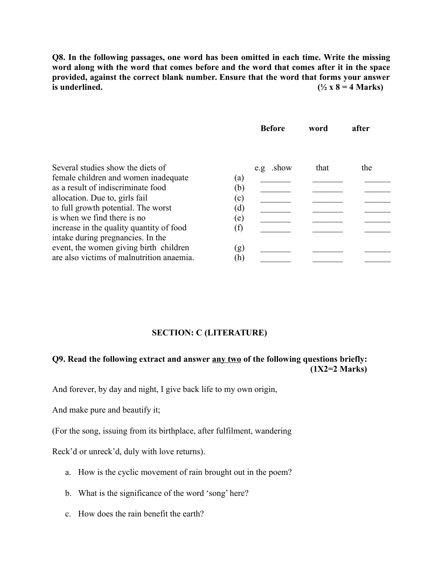**Q8. In the following passages, one word has been omitted in each time. Write the missing word along with the word that comes before and the word that comes after it in the space provided, against the correct blank number. Ensure that the word that forms your answer** is underlined.  $(^{1}/_{2} \times 8 = 4$  Marks)

|                                           | <b>Before</b> | word | after |
|-------------------------------------------|---------------|------|-------|
| Several studies show the diets of         | e.g .show     | that | the   |
| female children and women inadequate      | (a)           |      |       |
| as a result of indiscriminate food        | (b)           |      |       |
| allocation. Due to, girls fail            | (c)           |      |       |
| to full growth potential. The worst       | (d)           |      |       |
| is when we find there is no               | (e)           |      |       |
| increase in the quality quantity of food  |               |      |       |
| intake during pregnancies. In the         |               |      |       |
| event, the women giving birth children    | (g)           |      |       |
| are also victims of malnutrition anaemia. | (h)           |      |       |

#### **SECTION: C (LITERATURE)**

# **Q9. Read the following extract and answer any two of the following questions briefly: (1X2=2 Marks)**

And forever, by day and night, I give back life to my own origin,

And make pure and beautify it;

(For the song, issuing from its birthplace, after fulfilment, wandering

Reck'd or unreck'd, duly with love returns).

- a. How is the cyclic movement of rain brought out in the poem?
- b. What is the significance of the word 'song' here?
- c. How does the rain benefit the earth?